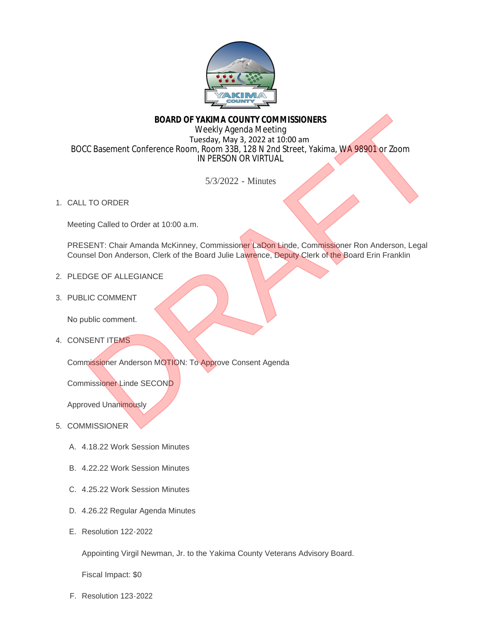

## **BOARD OF YAKIMA COUNTY COMMISSIONERS**

Weekly Agenda Meeting Tuesday, May 3, 2022 at 10:00 am BOCC Basement Conference Room, Room 33B, 128 N 2nd Street, Yakima, WA 98901 or Zoom IN PERSON OR VIRTUAL BOARD OF VAKIMA COUNTY COMMISSIONERS<br>
Weekly Agenda Meeling<br>
Tuesday, May 3, 2022 at 10:00 am<br>
IN DRAFT IN 2022 at 10:00 am<br>
IN DRAFT IN 2022 - Minutes<br>
SAY 2022 - Minutes<br>
SAY 2022 - Minutes<br>
SAY 2022 - Minutes<br>
SAY 2022

5/3/2022 - Minutes

1. CALL TO ORDER

Meeting Called to Order at 10:00 a.m.

PRESENT: Chair Amanda McKinney, Commissioner LaDon Linde, Commissioner Ron Anderson, Legal Counsel Don Anderson, Clerk of the Board Julie Lawrence, Deputy Clerk of the Board Erin Franklin

- 2. PLEDGE OF ALLEGIANCE
- 3. PUBLIC COMMENT

No public comment.

4. CONSENT ITEMS

Commissioner Anderson MOTION: To Approve Consent Agenda

Commissioner Linde SECOND

Approved Unanimously

## 5. COMMISSIONER

- 4.18.22 Work Session Minutes A.
- 4.22.22 Work Session Minutes B.
- 4.25.22 Work Session Minutes C.
- 4.26.22 Regular Agenda Minutes D.
- E. Resolution 122-2022

Appointing Virgil Newman, Jr. to the Yakima County Veterans Advisory Board.

Fiscal Impact: \$0

F. Resolution 123-2022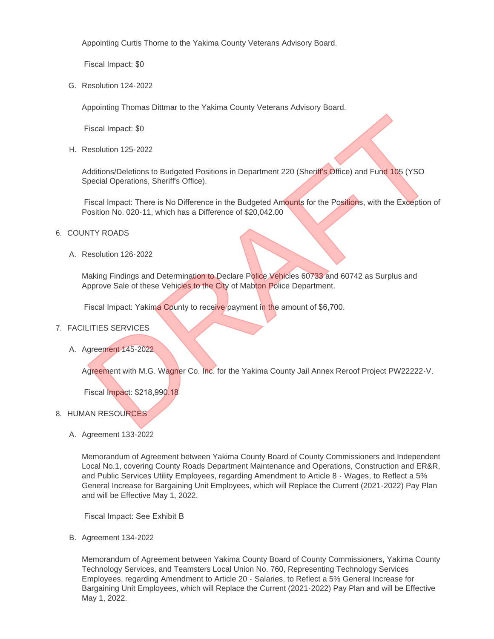Appointing Curtis Thorne to the Yakima County Veterans Advisory Board.

Fiscal Impact: \$0

G. Resolution 124-2022

Appointing Thomas Dittmar to the Yakima County Veterans Advisory Board.

Fiscal Impact: \$0

H. Resolution 125-2022

Additions/Deletions to Budgeted Positions in Department 220 (Sheriff's Office) and Fund 105 (YSO Special Operations, Sheriff's Office).

Fiscal Impact: There is No Difference in the Budgeted Amounts for the Positions, with the Exception of Position No. 020-11, which has a Difference of \$20,042.00 Fiscal Impact: \$0<br>
Resolution 125-2022<br>
deditions/Deletions to Budgeted Positions in Department 220 (Sheriff's Office) and Fund 105 (YSO<br>
Dependial Operations, Sherif's Office).<br>
Tiscal Impact: There is No Difference in th

- 6. COUNTY ROADS
	- Resolution 126-2022 A.

Making Findings and Determination to Declare Police Vehicles 60733 and 60742 as Surplus and Approve Sale of these Vehicles to the City of Mabton Police Department.

Fiscal Impact: Yakima County to receive payment in the amount of \$6,700.

## FACILITIES SERVICES 7.

A. Agreement 145-2022

Agreement with M.G. Wagner Co. Inc. for the Yakima County Jail Annex Reroof Project PW22222-V.

Fiscal Impact: \$218,990.18

- 8. HUMAN RESOURCES
	- A. Agreement 133-2022

Memorandum of Agreement between Yakima County Board of County Commissioners and Independent Local No.1, covering County Roads Department Maintenance and Operations, Construction and ER&R, and Public Services Utility Employees, regarding Amendment to Article 8 - Wages, to Reflect a 5% General Increase for Bargaining Unit Employees, which will Replace the Current (2021-2022) Pay Plan and will be Effective May 1, 2022.

Fiscal Impact: See Exhibit B

B. Agreement 134-2022

Memorandum of Agreement between Yakima County Board of County Commissioners, Yakima County Technology Services, and Teamsters Local Union No. 760, Representing Technology Services Employees, regarding Amendment to Article 20 - Salaries, to Reflect a 5% General Increase for Bargaining Unit Employees, which will Replace the Current (2021-2022) Pay Plan and will be Effective May 1, 2022.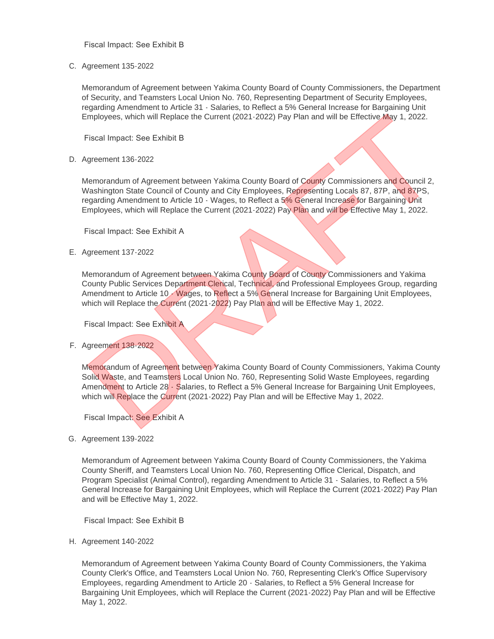Fiscal Impact: See Exhibit B

C. Agreement 135-2022

Memorandum of Agreement between Yakima County Board of County Commissioners, the Department of Security, and Teamsters Local Union No. 760, Representing Department of Security Employees, regarding Amendment to Article 31 - Salaries, to Reflect a 5% General Increase for Bargaining Unit Employees, which will Replace the Current (2021-2022) Pay Plan and will be Effective May 1, 2022.

Fiscal Impact: See Exhibit B

D. Agreement 136-2022

Memorandum of Agreement between Yakima County Board of County Commissioners and Council 2, Washington State Council of County and City Employees, Representing Locals 87, 87P, and 87PS, regarding Amendment to Article 10 - Wages, to Reflect a 5% General Increase for Bargaining Unit Employees, which will Replace the Current (2021-2022) Pay Plan and will be Effective May 1, 2022.

Fiscal Impact: See Exhibit A

E. Agreement 137-2022

Memorandum of Agreement between Yakima County Board of County Commissioners and Yakima County Public Services Department Clerical, Technical, and Professional Employees Group, regarding Amendment to Article 10 - Wages, to Reflect a 5% General Increase for Bargaining Unit Employees, which will Replace the Current (2021-2022) Pay Plan and will be Effective May 1, 2022.

Fiscal Impact: See Exhibit A

Agreement 138-2022 F.

Memorandum of Agreement between Yakima County Board of County Commissioners, Yakima County Solid Waste, and Teamsters Local Union No. 760, Representing Solid Waste Employees, regarding Amendment to Article 28 - Salaries, to Reflect a 5% General Increase for Bargaining Unit Employees, which will Replace the Current (2021-2022) Pay Plan and will be Effective May 1, 2022. Effective May 1, 2022.<br>
Fiscal Impact: See Exhibit B<br>
Sigmenter 1992. The Council of County Board of County Commissioners and Council 2,<br>
1992.<br>
Alemonrandum of Agreement between Yakima County Board of County Commissioners

Fiscal Impact: See Exhibit A

G. Agreement 139-2022

Memorandum of Agreement between Yakima County Board of County Commissioners, the Yakima County Sheriff, and Teamsters Local Union No. 760, Representing Office Clerical, Dispatch, and Program Specialist (Animal Control), regarding Amendment to Article 31 - Salaries, to Reflect a 5% General Increase for Bargaining Unit Employees, which will Replace the Current (2021-2022) Pay Plan and will be Effective May 1, 2022.

Fiscal Impact: See Exhibit B

H. Agreement 140-2022

Memorandum of Agreement between Yakima County Board of County Commissioners, the Yakima County Clerk's Office, and Teamsters Local Union No. 760, Representing Clerk's Office Supervisory Employees, regarding Amendment to Article 20 - Salaries, to Reflect a 5% General Increase for Bargaining Unit Employees, which will Replace the Current (2021-2022) Pay Plan and will be Effective May 1, 2022.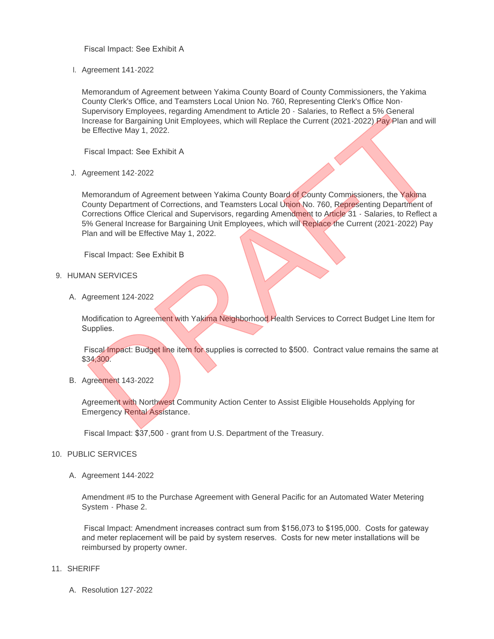Fiscal Impact: See Exhibit A

Agreement 141-2022 I.

Memorandum of Agreement between Yakima County Board of County Commissioners, the Yakima County Clerk's Office, and Teamsters Local Union No. 760, Representing Clerk's Office Non-Supervisory Employees, regarding Amendment to Article 20 - Salaries, to Reflect a 5% General Increase for Bargaining Unit Employees, which will Replace the Current (2021-2022) Pay Plan and will be Effective May 1, 2022.

Fiscal Impact: See Exhibit A

Agreement 142-2022 J.

Memorandum of Agreement between Yakima County Board of County Commissioners, the Yakima County Department of Corrections, and Teamsters Local Union No. 760, Representing Department of Corrections Office Clerical and Supervisors, regarding Amendment to Article 31 - Salaries, to Reflect a 5% General Increase for Bargaining Unit Employees, which will Replace the Current (2021-2022) Pay Plan and will be Effective May 1, 2022. States of Barganing Unit Employees, which will Replace the Current (2021-2022) Pay Deliver and a specific discussion of Agreement between Yakima County Board of County Commissioners, the Yakima de Effective May 1, 2022.<br>
F

Fiscal Impact: See Exhibit B

- 9. HUMAN SERVICES
	- A. Agreement 124-2022

Modification to Agreement with Yakima Neighborhood Health Services to Correct Budget Line Item for Supplies.

Fiscal Impact: Budget line item for supplies is corrected to \$500. Contract value remains the same at \$34,300.

B. Agreement 143-2022

Agreement with Northwest Community Action Center to Assist Eligible Households Applying for Emergency Rental Assistance.

Fiscal Impact: \$37,500 - grant from U.S. Department of the Treasury.

## 10. PUBLIC SERVICES

A. Agreement 144-2022

Amendment #5 to the Purchase Agreement with General Pacific for an Automated Water Metering System - Phase 2.

 Fiscal Impact: Amendment increases contract sum from \$156,073 to \$195,000. Costs for gateway and meter replacement will be paid by system reserves. Costs for new meter installations will be reimbursed by property owner.

- SHERIFF 11.
	- Resolution 127-2022 A.